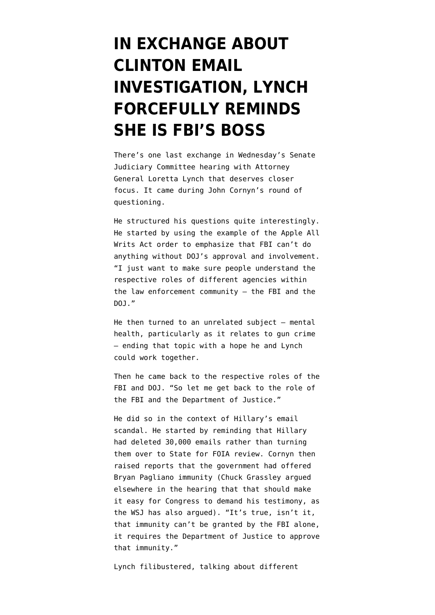## **[IN EXCHANGE ABOUT](https://www.emptywheel.net/2016/03/11/in-exchange-about-clinton-email-investigation-lynch-forcefully-reminds-she-is-fbis-boss/) [CLINTON EMAIL](https://www.emptywheel.net/2016/03/11/in-exchange-about-clinton-email-investigation-lynch-forcefully-reminds-she-is-fbis-boss/) [INVESTIGATION, LYNCH](https://www.emptywheel.net/2016/03/11/in-exchange-about-clinton-email-investigation-lynch-forcefully-reminds-she-is-fbis-boss/) [FORCEFULLY REMINDS](https://www.emptywheel.net/2016/03/11/in-exchange-about-clinton-email-investigation-lynch-forcefully-reminds-she-is-fbis-boss/) [SHE IS FBI'S BOSS](https://www.emptywheel.net/2016/03/11/in-exchange-about-clinton-email-investigation-lynch-forcefully-reminds-she-is-fbis-boss/)**

There's one last exchange in Wednesday's [Senate](http://www.c-span.org/video/?406201-1/attorney-general-loretta-lynch-testimony-justice-department-operations&start=9737) [Judiciary Committee hearing](http://www.c-span.org/video/?406201-1/attorney-general-loretta-lynch-testimony-justice-department-operations&start=9737) with Attorney General Loretta Lynch that deserves closer focus. It came during John Cornyn's round of questioning.

He structured his questions quite interestingly. He started by using the example of the Apple All Writs Act order to emphasize that FBI can't do anything without DOJ's approval and involvement. "I just want to make sure people understand the respective roles of different agencies within the law enforcement community — the FBI and the DOJ."

He then turned to an unrelated subject — mental health, particularly as it relates to gun crime — ending that topic with a hope he and Lynch could work together.

Then he came back to the respective roles of the FBI and DOJ. "So let me get back to the role of the FBI and the Department of Justice."

He did so in the context of Hillary's email scandal. He started by reminding that Hillary had deleted 30,000 emails rather than turning them over to State for FOIA review. Cornyn then raised [reports](https://www.washingtonpost.com/world/national-security/in-clinton-email-investigation-justice-department-grants-immunity-to-former-state-department-staffer/2016/03/02/e421e39e-e0a0-11e5-9c36-e1902f6b6571_story.html) that the government had offered Bryan Pagliano immunity (Chuck Grassley argued elsewhere in the hearing that that should make it easy for Congress to demand his testimony, as the [WSJ has also argued\)](http://www.wsj.com/articles/clintons-star-email-witness-1457568280). "It's true, isn't it, that immunity can't be granted by the FBI alone, it requires the Department of Justice to approve that immunity."

Lynch filibustered, talking about different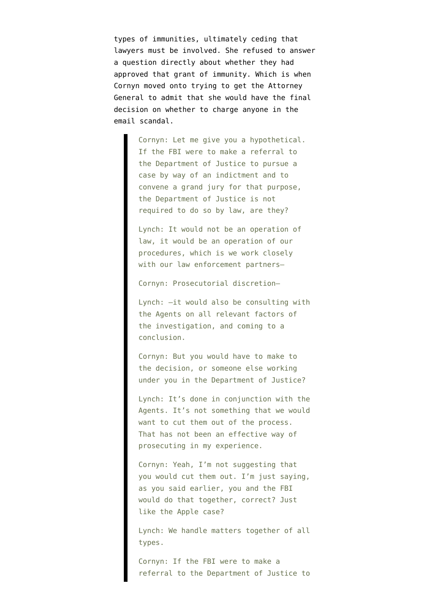types of immunities, ultimately ceding that lawyers must be involved. She refused to answer a question directly about whether they had approved that grant of immunity. Which is when Cornyn moved onto trying to get the Attorney General to admit that she would have the final decision on whether to charge anyone in the email scandal.

> Cornyn: Let me give you a hypothetical. If the FBI were to make a referral to the Department of Justice to pursue a case by way of an indictment and to convene a grand jury for that purpose, the Department of Justice is not required to do so by law, are they?

Lynch: It would not be an operation of law, it would be an operation of our procedures, which is we work closely with our law enforcement partners–

Cornyn: Prosecutorial discretion–

Lynch: –it would also be consulting with the Agents on all relevant factors of the investigation, and coming to a conclusion.

Cornyn: But you would have to make to the decision, or someone else working under you in the Department of Justice?

Lynch: It's done in conjunction with the Agents. It's not something that we would want to cut them out of the process. That has not been an effective way of prosecuting in my experience.

Cornyn: Yeah, I'm not suggesting that you would cut them out. I'm just saying, as you said earlier, you and the FBI would do that together, correct? Just like the Apple case?

Lynch: We handle matters together of all types.

Cornyn: If the FBI were to make a referral to the Department of Justice to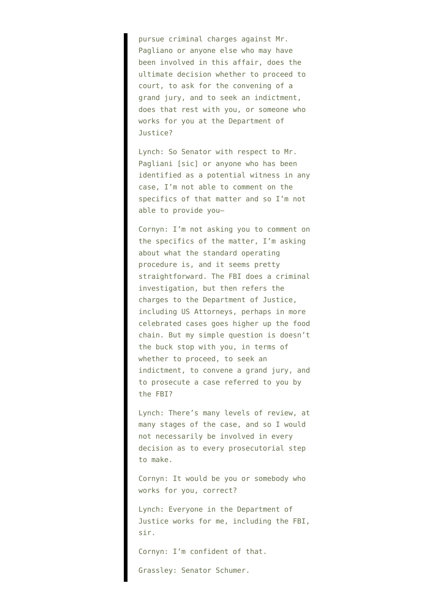pursue criminal charges against Mr. Pagliano or anyone else who may have been involved in this affair, does the ultimate decision whether to proceed to court, to ask for the convening of a grand jury, and to seek an indictment, does that rest with you, or someone who works for you at the Department of Justice?

Lynch: So Senator with respect to Mr. Pagliani [sic] or anyone who has been identified as a potential witness in any case, I'm not able to comment on the specifics of that matter and so I'm not able to provide you–

Cornyn: I'm not asking you to comment on the specifics of the matter, I'm asking about what the standard operating procedure is, and it seems pretty straightforward. The FBI does a criminal investigation, but then refers the charges to the Department of Justice, including US Attorneys, perhaps in more celebrated cases goes higher up the food chain. But my simple question is doesn't the buck stop with you, in terms of whether to proceed, to seek an indictment, to convene a grand jury, and to prosecute a case referred to you by the FBI?

Lynch: There's many levels of review, at many stages of the case, and so I would not necessarily be involved in every decision as to every prosecutorial step to make.

Cornyn: It would be you or somebody who works for you, correct?

Lynch: Everyone in the Department of Justice works for me, including the FBI, sir.

Cornyn: I'm confident of that.

Grassley: Senator Schumer.